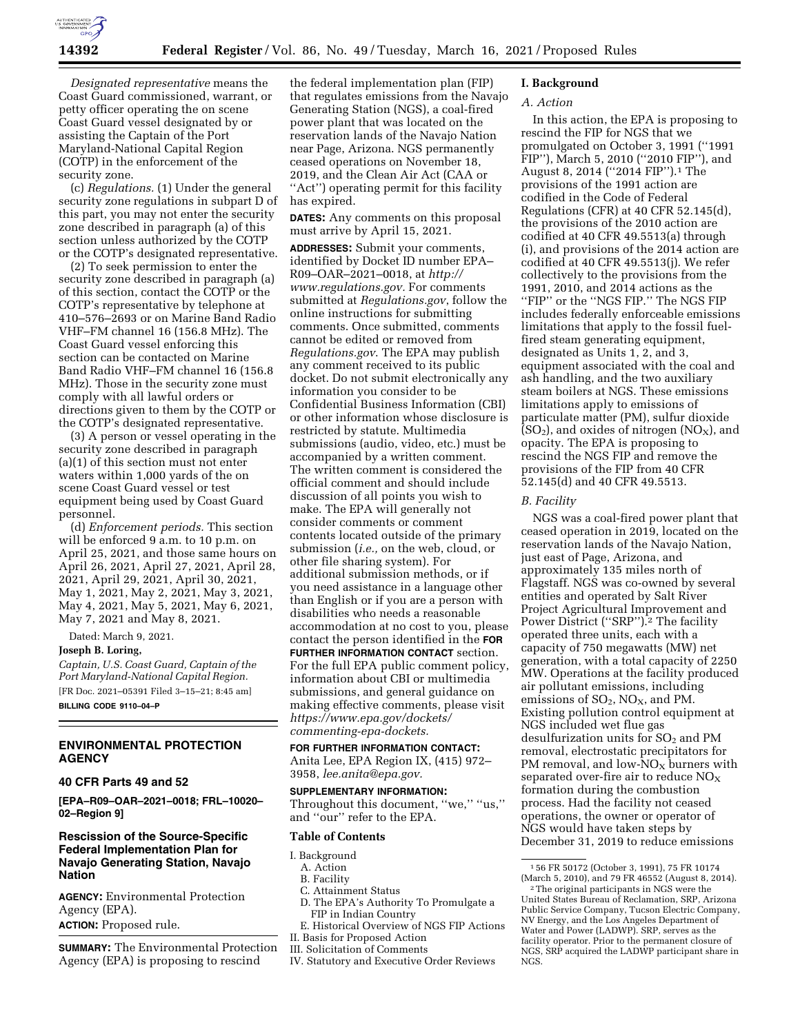

*Designated representative* means the Coast Guard commissioned, warrant, or petty officer operating the on scene Coast Guard vessel designated by or assisting the Captain of the Port Maryland-National Capital Region (COTP) in the enforcement of the security zone.

(c) *Regulations.* (1) Under the general security zone regulations in subpart D of this part, you may not enter the security zone described in paragraph (a) of this section unless authorized by the COTP or the COTP's designated representative.

(2) To seek permission to enter the security zone described in paragraph (a) of this section, contact the COTP or the COTP's representative by telephone at 410–576–2693 or on Marine Band Radio VHF–FM channel 16 (156.8 MHz). The Coast Guard vessel enforcing this section can be contacted on Marine Band Radio VHF–FM channel 16 (156.8 MHz). Those in the security zone must comply with all lawful orders or directions given to them by the COTP or the COTP's designated representative.

(3) A person or vessel operating in the security zone described in paragraph (a)(1) of this section must not enter waters within 1,000 yards of the on scene Coast Guard vessel or test equipment being used by Coast Guard personnel.

(d) *Enforcement periods.* This section will be enforced 9 a.m. to 10 p.m. on April 25, 2021, and those same hours on April 26, 2021, April 27, 2021, April 28, 2021, April 29, 2021, April 30, 2021, May 1, 2021, May 2, 2021, May 3, 2021, May 4, 2021, May 5, 2021, May 6, 2021, May 7, 2021 and May 8, 2021.

Dated: March 9, 2021.

#### **Joseph B. Loring,**

*Captain, U.S. Coast Guard, Captain of the Port Maryland-National Capital Region.*  [FR Doc. 2021–05391 Filed 3–15–21; 8:45 am] **BILLING CODE 9110–04–P** 

## **ENVIRONMENTAL PROTECTION AGENCY**

## **40 CFR Parts 49 and 52**

**[EPA–R09–OAR–2021–0018; FRL–10020– 02–Region 9]** 

## **Rescission of the Source-Specific Federal Implementation Plan for Navajo Generating Station, Navajo Nation**

**AGENCY:** Environmental Protection Agency (EPA). **ACTION:** Proposed rule.

**SUMMARY:** The Environmental Protection Agency (EPA) is proposing to rescind

the federal implementation plan (FIP) that regulates emissions from the Navajo Generating Station (NGS), a coal-fired power plant that was located on the reservation lands of the Navajo Nation near Page, Arizona. NGS permanently ceased operations on November 18, 2019, and the Clean Air Act (CAA or "Act") operating permit for this facility has expired.

**DATES:** Any comments on this proposal must arrive by April 15, 2021.

**ADDRESSES:** Submit your comments, identified by Docket ID number EPA– R09–OAR–2021–0018, at *[http://](http://www.regulations.gov) [www.regulations.gov.](http://www.regulations.gov)* For comments submitted at *Regulations.gov*, follow the online instructions for submitting comments. Once submitted, comments cannot be edited or removed from *Regulations.gov*. The EPA may publish any comment received to its public docket. Do not submit electronically any information you consider to be Confidential Business Information (CBI) or other information whose disclosure is restricted by statute. Multimedia submissions (audio, video, etc.) must be accompanied by a written comment. The written comment is considered the official comment and should include discussion of all points you wish to make. The EPA will generally not consider comments or comment contents located outside of the primary submission (*i.e.,* on the web, cloud, or other file sharing system). For additional submission methods, or if you need assistance in a language other than English or if you are a person with disabilities who needs a reasonable accommodation at no cost to you, please contact the person identified in the **FOR FURTHER INFORMATION CONTACT** section. For the full EPA public comment policy, information about CBI or multimedia submissions, and general guidance on making effective comments, please visit *[https://www.epa.gov/dockets/](https://www.epa.gov/dockets/commenting-epa-dockets)  [commenting-epa-dockets.](https://www.epa.gov/dockets/commenting-epa-dockets)* 

#### **FOR FURTHER INFORMATION CONTACT:**

Anita Lee, EPA Region IX, (415) 972– 3958, *[lee.anita@epa.gov.](mailto:lee.anita@epa.gov)* 

### **SUPPLEMENTARY INFORMATION:**

Throughout this document, "we," "us," and ''our'' refer to the EPA.

## **Table of Contents**

- I. Background
	- A. Action
	- B. Facility
	- C. Attainment Status
	- D. The EPA's Authority To Promulgate a FIP in Indian Country
- E. Historical Overview of NGS FIP Actions II. Basis for Proposed Action
- 
- III. Solicitation of Comments
- IV. Statutory and Executive Order Reviews

#### **I. Background**

#### *A. Action*

In this action, the EPA is proposing to rescind the FIP for NGS that we promulgated on October 3, 1991 (''1991 FIP''), March 5, 2010 (''2010 FIP''), and August 8, 2014 (''2014 FIP'').1 The provisions of the 1991 action are codified in the Code of Federal Regulations (CFR) at 40 CFR 52.145(d), the provisions of the 2010 action are codified at 40 CFR 49.5513(a) through (i), and provisions of the 2014 action are codified at 40 CFR 49.5513(j). We refer collectively to the provisions from the 1991, 2010, and 2014 actions as the ''FIP'' or the ''NGS FIP.'' The NGS FIP includes federally enforceable emissions limitations that apply to the fossil fuelfired steam generating equipment, designated as Units 1, 2, and 3, equipment associated with the coal and ash handling, and the two auxiliary steam boilers at NGS. These emissions limitations apply to emissions of particulate matter (PM), sulfur dioxide  $(SO<sub>2</sub>)$ , and oxides of nitrogen  $(NO<sub>X</sub>)$ , and opacity. The EPA is proposing to rescind the NGS FIP and remove the provisions of the FIP from 40 CFR 52.145(d) and 40 CFR 49.5513.

#### *B. Facility*

NGS was a coal-fired power plant that ceased operation in 2019, located on the reservation lands of the Navajo Nation, just east of Page, Arizona, and approximately 135 miles north of Flagstaff. NGS was co-owned by several entities and operated by Salt River Project Agricultural Improvement and Power District ("SRP").<sup>2</sup> The facility operated three units, each with a capacity of 750 megawatts (MW) net generation, with a total capacity of 2250 MW. Operations at the facility produced air pollutant emissions, including emissions of  $SO_2$ ,  $NO_x$ , and PM. Existing pollution control equipment at NGS included wet flue gas desulfurization units for SO<sub>2</sub> and PM removal, electrostatic precipitators for PM removal, and low- $NO<sub>X</sub>$  burners with separated over-fire air to reduce  $NO<sub>x</sub>$ formation during the combustion process. Had the facility not ceased operations, the owner or operator of NGS would have taken steps by December 31, 2019 to reduce emissions

<sup>1</sup> 56 FR 50172 (October 3, 1991), 75 FR 10174<br>(March 5, 2010), and 79 FR 46552 (August 8, 2014).

<sup>&</sup>lt;sup>2</sup> The original participants in NGS were the United States Bureau of Reclamation, SRP, Arizona Public Service Company, Tucson Electric Company, NV Energy, and the Los Angeles Department of Water and Power (LADWP). SRP, serves as the facility operator. Prior to the permanent closure of NGS, SRP acquired the LADWP participant share in NGS.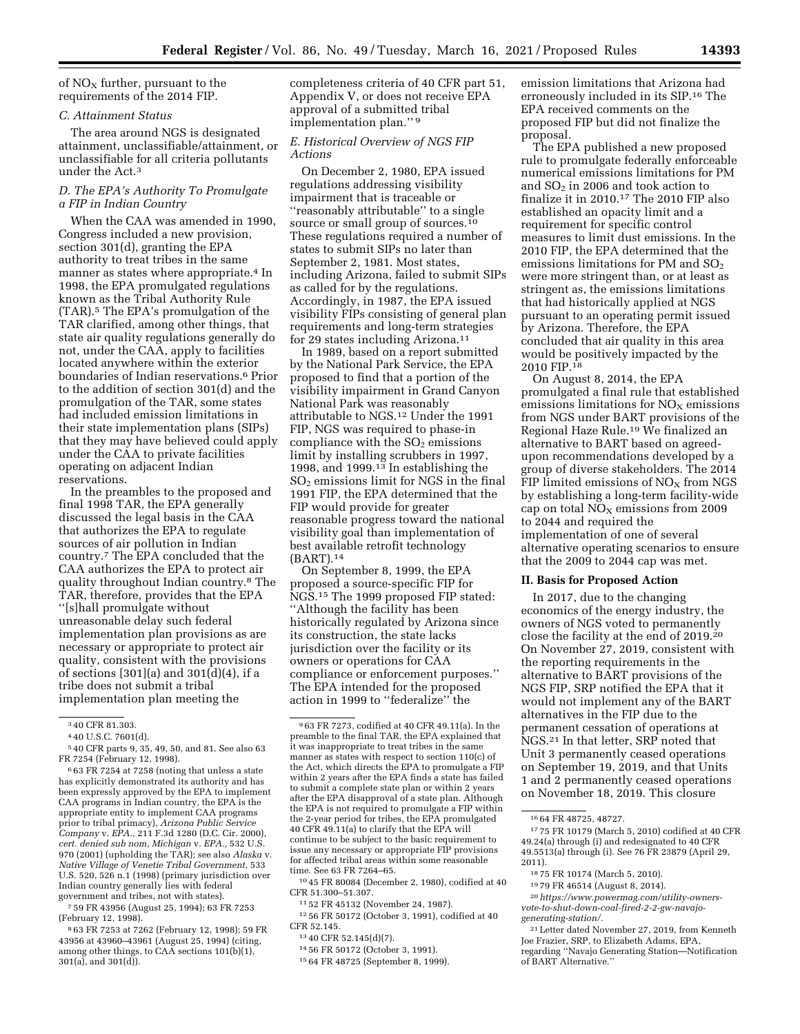of  $NO<sub>x</sub>$  further, pursuant to the requirements of the 2014 FIP.

#### *C. Attainment Status*

The area around NGS is designated attainment, unclassifiable/attainment, or unclassifiable for all criteria pollutants under the Act.3

### *D. The EPA's Authority To Promulgate a FIP in Indian Country*

When the CAA was amended in 1990, Congress included a new provision, section 301(d), granting the EPA authority to treat tribes in the same manner as states where appropriate.4 In 1998, the EPA promulgated regulations known as the Tribal Authority Rule (TAR).5 The EPA's promulgation of the TAR clarified, among other things, that state air quality regulations generally do not, under the CAA, apply to facilities located anywhere within the exterior boundaries of Indian reservations.6 Prior to the addition of section 301(d) and the promulgation of the TAR, some states had included emission limitations in their state implementation plans (SIPs) that they may have believed could apply under the CAA to private facilities operating on adjacent Indian reservations.

In the preambles to the proposed and final 1998 TAR, the EPA generally discussed the legal basis in the CAA that authorizes the EPA to regulate sources of air pollution in Indian country.7 The EPA concluded that the CAA authorizes the EPA to protect air quality throughout Indian country.8 The TAR, therefore, provides that the EPA ''[s]hall promulgate without unreasonable delay such federal implementation plan provisions as are necessary or appropriate to protect air quality, consistent with the provisions of sections [301](a) and 301(d)(4), if a tribe does not submit a tribal implementation plan meeting the

7 59 FR 43956 (August 25, 1994); 63 FR 7253 (February 12, 1998).

8 63 FR 7253 at 7262 (February 12, 1998); 59 FR 43956 at 43960–43961 (August 25, 1994) (citing, among other things, to CAA sections 101(b)(1),  $301(a)$ , and  $301(d)$ ).

completeness criteria of 40 CFR part 51, Appendix V, or does not receive EPA approval of a submitted tribal implementation plan.'' 9

### *E. Historical Overview of NGS FIP Actions*

On December 2, 1980, EPA issued regulations addressing visibility impairment that is traceable or ''reasonably attributable'' to a single source or small group of sources.<sup>10</sup> These regulations required a number of states to submit SIPs no later than September 2, 1981. Most states, including Arizona, failed to submit SIPs as called for by the regulations. Accordingly, in 1987, the EPA issued visibility FIPs consisting of general plan requirements and long-term strategies for 29 states including Arizona.11

In 1989, based on a report submitted by the National Park Service, the EPA proposed to find that a portion of the visibility impairment in Grand Canyon National Park was reasonably attributable to NGS.12 Under the 1991 FIP, NGS was required to phase-in compliance with the  $SO<sub>2</sub>$  emissions limit by installing scrubbers in 1997, 1998, and 1999.13 In establishing the SO2 emissions limit for NGS in the final 1991 FIP, the EPA determined that the FIP would provide for greater reasonable progress toward the national visibility goal than implementation of best available retrofit technology (BART).14

On September 8, 1999, the EPA proposed a source-specific FIP for NGS.15 The 1999 proposed FIP stated: ''Although the facility has been historically regulated by Arizona since its construction, the state lacks jurisdiction over the facility or its owners or operations for CAA compliance or enforcement purposes.'' The EPA intended for the proposed action in 1999 to ''federalize'' the

14 56 FR 50172 (October 3, 1991).

emission limitations that Arizona had erroneously included in its SIP.16 The EPA received comments on the proposed FIP but did not finalize the proposal.

The EPA published a new proposed rule to promulgate federally enforceable numerical emissions limitations for PM and  $SO<sub>2</sub>$  in 2006 and took action to finalize it in 2010.17 The 2010 FIP also established an opacity limit and a requirement for specific control measures to limit dust emissions. In the 2010 FIP, the EPA determined that the emissions limitations for PM and  $SO<sub>2</sub>$ were more stringent than, or at least as stringent as, the emissions limitations that had historically applied at NGS pursuant to an operating permit issued by Arizona. Therefore, the EPA concluded that air quality in this area would be positively impacted by the 2010 FIP.18

On August 8, 2014, the EPA promulgated a final rule that established emissions limitations for  $NO<sub>x</sub>$  emissions from NGS under BART provisions of the Regional Haze Rule.19 We finalized an alternative to BART based on agreedupon recommendations developed by a group of diverse stakeholders. The 2014 FIP limited emissions of  $NO<sub>x</sub>$  from NGS by establishing a long-term facility-wide cap on total  $NO<sub>x</sub>$  emissions from 2009 to 2044 and required the implementation of one of several alternative operating scenarios to ensure that the 2009 to 2044 cap was met.

### **II. Basis for Proposed Action**

In 2017, due to the changing economics of the energy industry, the owners of NGS voted to permanently close the facility at the end of 2019.20 On November 27, 2019, consistent with the reporting requirements in the alternative to BART provisions of the NGS FIP, SRP notified the EPA that it would not implement any of the BART alternatives in the FIP due to the permanent cessation of operations at NGS.21 In that letter, SRP noted that Unit 3 permanently ceased operations on September 19, 2019, and that Units 1 and 2 permanently ceased operations on November 18, 2019. This closure

17 75 FR 10179 (March 5, 2010) codified at 40 CFR 49.24(a) through (i) and redesignated to 40 CFR 49.5513(a) through (i). See 76 FR 23879 (April 29, 2011).

<sup>3</sup> 40 CFR 81.303.

<sup>4</sup> 40 U.S.C. 7601(d).

<sup>5</sup> 40 CFR parts 9, 35, 49, 50, and 81. See also 63 FR 7254 (February 12, 1998).

<sup>6</sup> 63 FR 7254 at 7258 (noting that unless a state has explicitly demonstrated its authority and has been expressly approved by the EPA to implement CAA programs in Indian country, the EPA is the appropriate entity to implement CAA programs prior to tribal primacy), *Arizona Public Service Company* v. *EPA.,* 211 F.3d 1280 (D.C. Cir. 2000), *cert. denied sub nom, Michigan* v. *EPA.,* 532 U.S. 970 (2001) (upholding the TAR); see also *Alaska* v. *Native Village of Venetie Tribal Government,* 533 U.S. 520, 526 n.1 (1998) (primary jurisdiction over Indian country generally lies with federal government and tribes, not with states).

<sup>9</sup> 63 FR 7273, codified at 40 CFR 49.11(a). In the preamble to the final TAR, the EPA explained that it was inappropriate to treat tribes in the same manner as states with respect to section 110(c) of the Act, which directs the EPA to promulgate a FIP within 2 years after the EPA finds a state has failed to submit a complete state plan or within 2 years after the EPA disapproval of a state plan. Although the EPA is not required to promulgate a FIP within the 2-year period for tribes, the EPA promulgated 40 CFR 49.11(a) to clarify that the EPA will continue to be subject to the basic requirement to issue any necessary or appropriate FIP provisions for affected tribal areas within some reasonable time. See 63 FR 7264–65.

<sup>10</sup> 45 FR 80084 (December 2, 1980), codified at 40 CFR 51.300–51.307.

<sup>11</sup> 52 FR 45132 (November 24, 1987).

<sup>12</sup> 56 FR 50172 (October 3, 1991), codified at 40 CFR 52.145.

<sup>13</sup> 40 CFR 52.145(d)(7).

<sup>15</sup> 64 FR 48725 (September 8, 1999).

<sup>16</sup> 64 FR 48725, 48727.

<sup>18</sup> 75 FR 10174 (March 5, 2010).

<sup>19</sup> 79 FR 46514 (August 8, 2014).

<sup>20</sup>*[https://www.powermag.com/utility-owners](https://www.powermag.com/utility-owners-vote-to-shut-down-coal-fired-2-2-gw-navajo-generating-station/)[vote-to-shut-down-coal-fired-2-2-gw-navajo](https://www.powermag.com/utility-owners-vote-to-shut-down-coal-fired-2-2-gw-navajo-generating-station/)[generating-station/.](https://www.powermag.com/utility-owners-vote-to-shut-down-coal-fired-2-2-gw-navajo-generating-station/)* 

<sup>21</sup>Letter dated November 27, 2019, from Kenneth Joe Frazier, SRP, to Elizabeth Adams, EPA, regarding ''Navajo Generating Station—Notification of BART Alternative.''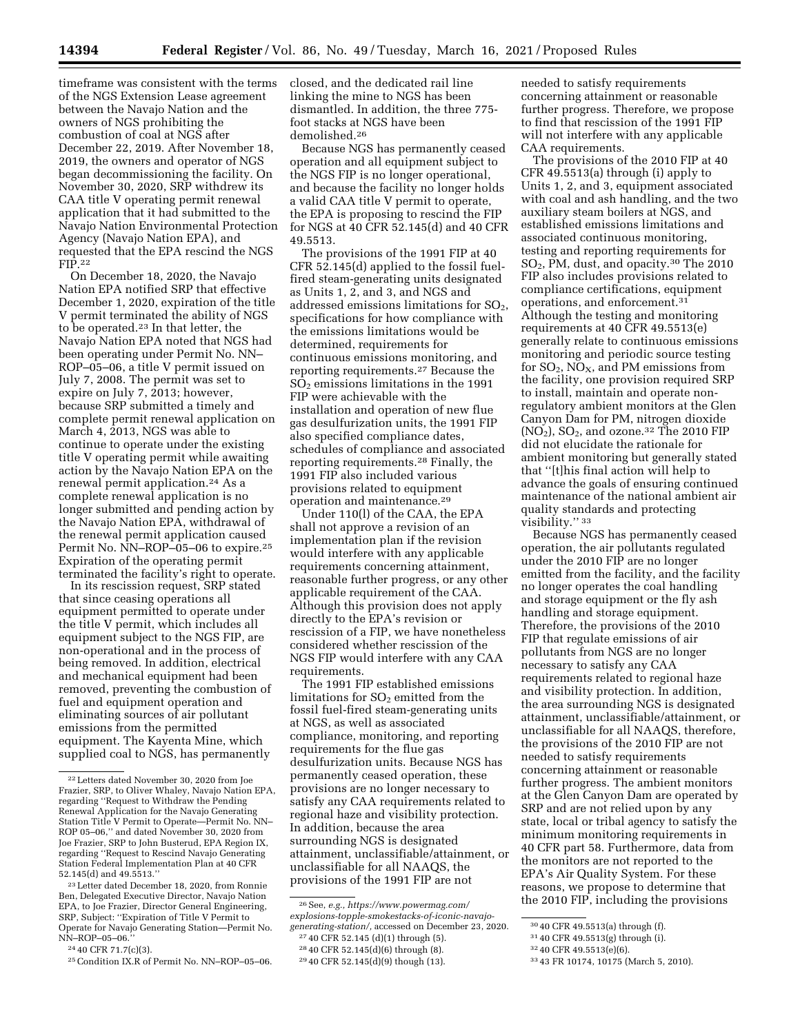timeframe was consistent with the terms of the NGS Extension Lease agreement between the Navajo Nation and the owners of NGS prohibiting the combustion of coal at NGS after December 22, 2019. After November 18, 2019, the owners and operator of NGS began decommissioning the facility. On November 30, 2020, SRP withdrew its CAA title V operating permit renewal application that it had submitted to the Navajo Nation Environmental Protection Agency (Navajo Nation EPA), and requested that the EPA rescind the NGS FIP.22

On December 18, 2020, the Navajo Nation EPA notified SRP that effective December 1, 2020, expiration of the title V permit terminated the ability of NGS to be operated.23 In that letter, the Navajo Nation EPA noted that NGS had been operating under Permit No. NN– ROP–05–06, a title V permit issued on July 7, 2008. The permit was set to expire on July 7, 2013; however, because SRP submitted a timely and complete permit renewal application on March 4, 2013, NGS was able to continue to operate under the existing title V operating permit while awaiting action by the Navajo Nation EPA on the renewal permit application.24 As a complete renewal application is no longer submitted and pending action by the Navajo Nation EPA, withdrawal of the renewal permit application caused Permit No. NN–ROP–05–06 to expire.<sup>25</sup> Expiration of the operating permit terminated the facility's right to operate.

In its rescission request, SRP stated that since ceasing operations all equipment permitted to operate under the title V permit, which includes all equipment subject to the NGS FIP, are non-operational and in the process of being removed. In addition, electrical and mechanical equipment had been removed, preventing the combustion of fuel and equipment operation and eliminating sources of air pollutant emissions from the permitted equipment. The Kayenta Mine, which supplied coal to NGS, has permanently

closed, and the dedicated rail line linking the mine to NGS has been dismantled. In addition, the three 775 foot stacks at NGS have been demolished.26

Because NGS has permanently ceased operation and all equipment subject to the NGS FIP is no longer operational, and because the facility no longer holds a valid CAA title V permit to operate, the EPA is proposing to rescind the FIP for NGS at 40 CFR 52.145(d) and 40 CFR 49.5513.

The provisions of the 1991 FIP at 40 CFR 52.145(d) applied to the fossil fuelfired steam-generating units designated as Units 1, 2, and 3, and NGS and addressed emissions limitations for  $SO<sub>2</sub>$ , specifications for how compliance with the emissions limitations would be determined, requirements for continuous emissions monitoring, and reporting requirements.27 Because the  $SO<sub>2</sub>$  emissions limitations in the 1991 FIP were achievable with the installation and operation of new flue gas desulfurization units, the 1991 FIP also specified compliance dates, schedules of compliance and associated reporting requirements.28 Finally, the 1991 FIP also included various provisions related to equipment operation and maintenance.29

Under 110(l) of the CAA, the EPA shall not approve a revision of an implementation plan if the revision would interfere with any applicable requirements concerning attainment, reasonable further progress, or any other applicable requirement of the CAA. Although this provision does not apply directly to the EPA's revision or rescission of a FIP, we have nonetheless considered whether rescission of the NGS FIP would interfere with any CAA requirements.

The 1991 FIP established emissions limitations for  $SO<sub>2</sub>$  emitted from the fossil fuel-fired steam-generating units at NGS, as well as associated compliance, monitoring, and reporting requirements for the flue gas desulfurization units. Because NGS has permanently ceased operation, these provisions are no longer necessary to satisfy any CAA requirements related to regional haze and visibility protection. In addition, because the area surrounding NGS is designated attainment, unclassifiable/attainment, or unclassifiable for all NAAQS, the provisions of the 1991 FIP are not

needed to satisfy requirements concerning attainment or reasonable further progress. Therefore, we propose to find that rescission of the 1991 FIP will not interfere with any applicable CAA requirements.

The provisions of the 2010 FIP at 40 CFR 49.5513(a) through (i) apply to Units 1, 2, and 3, equipment associated with coal and ash handling, and the two auxiliary steam boilers at NGS, and established emissions limitations and associated continuous monitoring, testing and reporting requirements for SO2, PM, dust, and opacity.30 The 2010 FIP also includes provisions related to compliance certifications, equipment operations, and enforcement.31 Although the testing and monitoring requirements at 40 CFR 49.5513(e) generally relate to continuous emissions monitoring and periodic source testing for  $SO_2$ ,  $NO_X$ , and PM emissions from the facility, one provision required SRP to install, maintain and operate nonregulatory ambient monitors at the Glen Canyon Dam for PM, nitrogen dioxide  $(NO<sub>2</sub>), SO<sub>2</sub>, and ozone.<sup>32</sup> The 2010 FIP$ did not elucidate the rationale for ambient monitoring but generally stated that ''[t]his final action will help to advance the goals of ensuring continued maintenance of the national ambient air quality standards and protecting visibility.'' 33

Because NGS has permanently ceased operation, the air pollutants regulated under the 2010 FIP are no longer emitted from the facility, and the facility no longer operates the coal handling and storage equipment or the fly ash handling and storage equipment. Therefore, the provisions of the 2010 FIP that regulate emissions of air pollutants from NGS are no longer necessary to satisfy any CAA requirements related to regional haze and visibility protection. In addition, the area surrounding NGS is designated attainment, unclassifiable/attainment, or unclassifiable for all NAAQS, therefore, the provisions of the 2010 FIP are not needed to satisfy requirements concerning attainment or reasonable further progress. The ambient monitors at the Glen Canyon Dam are operated by SRP and are not relied upon by any state, local or tribal agency to satisfy the minimum monitoring requirements in 40 CFR part 58. Furthermore, data from the monitors are not reported to the EPA's Air Quality System. For these reasons, we propose to determine that the 2010 FIP, including the provisions

<sup>22</sup>Letters dated November 30, 2020 from Joe Frazier, SRP, to Oliver Whaley, Navajo Nation EPA, regarding "Request to Withdraw the Pending Renewal Application for the Navajo Generating Station Title V Permit to Operate—Permit No. NN– ROP 05–06,'' and dated November 30, 2020 from Joe Frazier, SRP to John Busterud, EPA Region IX, regarding ''Request to Rescind Navajo Generating Station Federal Implementation Plan at 40 CFR 52.145(d) and 49.5513.''

<sup>23</sup>Letter dated December 18, 2020, from Ronnie Ben, Delegated Executive Director, Navajo Nation EPA, to Joe Frazier, Director General Engineering, SRP, Subject: ''Expiration of Title V Permit to Operate for Navajo Generating Station—Permit No. NN–ROP–05–06.''

<sup>24</sup> 40 CFR 71.7(c)(3).

<sup>25</sup>Condition IX.R of Permit No. NN–ROP–05–06.

<sup>26</sup>See, *e.g., [https://www.powermag.com/](https://www.powermag.com/explosions-topple-smokestacks-of-iconic-navajo-generating-station/) [explosions-topple-smokestacks-of-iconic-navajo](https://www.powermag.com/explosions-topple-smokestacks-of-iconic-navajo-generating-station/)[generating-station/,](https://www.powermag.com/explosions-topple-smokestacks-of-iconic-navajo-generating-station/)* accessed on December 23, 2020.

<sup>27</sup> 40 CFR 52.145 (d)(1) through (5).

<sup>28</sup> 40 CFR 52.145(d)(6) through (8).

<sup>29</sup> 40 CFR 52.145(d)(9) though (13).

<sup>30</sup> 40 CFR 49.5513(a) through (f).

<sup>31</sup> 40 CFR 49.5513(g) through (i).

<sup>32</sup> 40 CFR 49.5513(e)(6).

<sup>33</sup> 43 FR 10174, 10175 (March 5, 2010).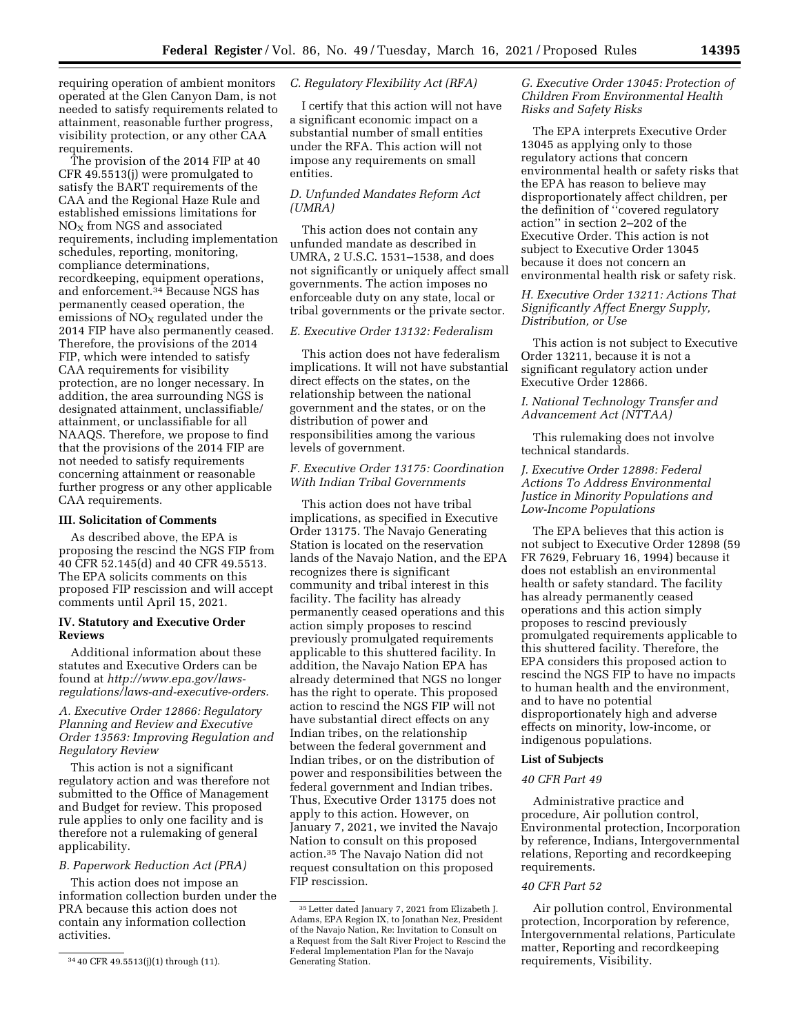requiring operation of ambient monitors operated at the Glen Canyon Dam, is not needed to satisfy requirements related to attainment, reasonable further progress, visibility protection, or any other CAA requirements.

The provision of the 2014 FIP at 40 CFR 49.5513(j) were promulgated to satisfy the BART requirements of the CAA and the Regional Haze Rule and established emissions limitations for  $NO<sub>x</sub>$  from NGS and associated requirements, including implementation schedules, reporting, monitoring, compliance determinations, recordkeeping, equipment operations, and enforcement.34 Because NGS has permanently ceased operation, the emissions of  $NO<sub>X</sub>$  regulated under the 2014 FIP have also permanently ceased. Therefore, the provisions of the 2014 FIP, which were intended to satisfy CAA requirements for visibility protection, are no longer necessary. In addition, the area surrounding NGS is designated attainment, unclassifiable/ attainment, or unclassifiable for all NAAQS. Therefore, we propose to find that the provisions of the 2014 FIP are not needed to satisfy requirements concerning attainment or reasonable further progress or any other applicable CAA requirements.

#### **III. Solicitation of Comments**

As described above, the EPA is proposing the rescind the NGS FIP from 40 CFR 52.145(d) and 40 CFR 49.5513. The EPA solicits comments on this proposed FIP rescission and will accept comments until April 15, 2021.

### **IV. Statutory and Executive Order Reviews**

Additional information about these statutes and Executive Orders can be found at *[http://www.epa.gov/laws](http://www.epa.gov/laws-regulations/laws-and-executive-orders)[regulations/laws-and-executive-orders.](http://www.epa.gov/laws-regulations/laws-and-executive-orders)* 

*A. Executive Order 12866: Regulatory Planning and Review and Executive Order 13563: Improving Regulation and Regulatory Review* 

This action is not a significant regulatory action and was therefore not submitted to the Office of Management and Budget for review. This proposed rule applies to only one facility and is therefore not a rulemaking of general applicability.

#### *B. Paperwork Reduction Act (PRA)*

This action does not impose an information collection burden under the PRA because this action does not contain any information collection activities.

#### *C. Regulatory Flexibility Act (RFA)*

I certify that this action will not have a significant economic impact on a substantial number of small entities under the RFA. This action will not impose any requirements on small entities.

### *D. Unfunded Mandates Reform Act (UMRA)*

This action does not contain any unfunded mandate as described in UMRA, 2 U.S.C. 1531–1538, and does not significantly or uniquely affect small governments. The action imposes no enforceable duty on any state, local or tribal governments or the private sector.

## *E. Executive Order 13132: Federalism*

This action does not have federalism implications. It will not have substantial direct effects on the states, on the relationship between the national government and the states, or on the distribution of power and responsibilities among the various levels of government.

#### *F. Executive Order 13175: Coordination With Indian Tribal Governments*

This action does not have tribal implications, as specified in Executive Order 13175. The Navajo Generating Station is located on the reservation lands of the Navajo Nation, and the EPA recognizes there is significant community and tribal interest in this facility. The facility has already permanently ceased operations and this action simply proposes to rescind previously promulgated requirements applicable to this shuttered facility. In addition, the Navajo Nation EPA has already determined that NGS no longer has the right to operate. This proposed action to rescind the NGS FIP will not have substantial direct effects on any Indian tribes, on the relationship between the federal government and Indian tribes, or on the distribution of power and responsibilities between the federal government and Indian tribes. Thus, Executive Order 13175 does not apply to this action. However, on January 7, 2021, we invited the Navajo Nation to consult on this proposed action.35 The Navajo Nation did not request consultation on this proposed FIP rescission.

### *G. Executive Order 13045: Protection of Children From Environmental Health Risks and Safety Risks*

The EPA interprets Executive Order 13045 as applying only to those regulatory actions that concern environmental health or safety risks that the EPA has reason to believe may disproportionately affect children, per the definition of ''covered regulatory action'' in section 2–202 of the Executive Order. This action is not subject to Executive Order 13045 because it does not concern an environmental health risk or safety risk.

## *H. Executive Order 13211: Actions That Significantly Affect Energy Supply, Distribution, or Use*

This action is not subject to Executive Order 13211, because it is not a significant regulatory action under Executive Order 12866.

### *I. National Technology Transfer and Advancement Act (NTTAA)*

This rulemaking does not involve technical standards.

## *J. Executive Order 12898: Federal Actions To Address Environmental Justice in Minority Populations and Low-Income Populations*

The EPA believes that this action is not subject to Executive Order 12898 (59 FR 7629, February 16, 1994) because it does not establish an environmental health or safety standard. The facility has already permanently ceased operations and this action simply proposes to rescind previously promulgated requirements applicable to this shuttered facility. Therefore, the EPA considers this proposed action to rescind the NGS FIP to have no impacts to human health and the environment, and to have no potential disproportionately high and adverse effects on minority, low-income, or indigenous populations.

#### **List of Subjects**

#### *40 CFR Part 49*

Administrative practice and procedure, Air pollution control, Environmental protection, Incorporation by reference, Indians, Intergovernmental relations, Reporting and recordkeeping requirements.

#### *40 CFR Part 52*

Air pollution control, Environmental protection, Incorporation by reference, Intergovernmental relations, Particulate matter, Reporting and recordkeeping requirements, Visibility.

<sup>34</sup> 40 CFR 49.5513(j)(1) through (11).

<sup>35</sup>Letter dated January 7, 2021 from Elizabeth J. Adams, EPA Region IX, to Jonathan Nez, President of the Navajo Nation, Re: Invitation to Consult on a Request from the Salt River Project to Rescind the Federal Implementation Plan for the Navajo Generating Station.